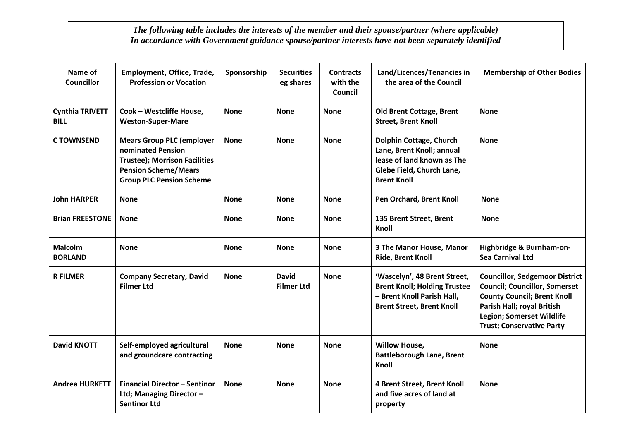## *The following table includes the interests of the member and their spouse/partner (where applicable) In accordance with Government guidance spouse/partner interests have not been separately identified*

| Name of<br><b>Councillor</b>          | Employment, Office, Trade,<br><b>Profession or Vocation</b>                                                                                                     | Sponsorship | <b>Securities</b><br>eg shares    | <b>Contracts</b><br>with the<br>Council | Land/Licences/Tenancies in<br>the area of the Council                                                                                 | <b>Membership of Other Bodies</b>                                                                                                                                                                                         |
|---------------------------------------|-----------------------------------------------------------------------------------------------------------------------------------------------------------------|-------------|-----------------------------------|-----------------------------------------|---------------------------------------------------------------------------------------------------------------------------------------|---------------------------------------------------------------------------------------------------------------------------------------------------------------------------------------------------------------------------|
| <b>Cynthia TRIVETT</b><br><b>BILL</b> | Cook - Westcliffe House,<br><b>Weston-Super-Mare</b>                                                                                                            | <b>None</b> | <b>None</b>                       | <b>None</b>                             | <b>Old Brent Cottage, Brent</b><br><b>Street, Brent Knoll</b>                                                                         | <b>None</b>                                                                                                                                                                                                               |
| <b>CTOWNSEND</b>                      | <b>Mears Group PLC (employer</b><br>nominated Pension<br><b>Trustee); Morrison Facilities</b><br><b>Pension Scheme/Mears</b><br><b>Group PLC Pension Scheme</b> | <b>None</b> | <b>None</b>                       | <b>None</b>                             | Dolphin Cottage, Church<br>Lane, Brent Knoll; annual<br>lease of land known as The<br>Glebe Field, Church Lane,<br><b>Brent Knoll</b> | <b>None</b>                                                                                                                                                                                                               |
| <b>John HARPER</b>                    | <b>None</b>                                                                                                                                                     | <b>None</b> | <b>None</b>                       | <b>None</b>                             | Pen Orchard, Brent Knoll                                                                                                              | <b>None</b>                                                                                                                                                                                                               |
| <b>Brian FREESTONE</b>                | <b>None</b>                                                                                                                                                     | <b>None</b> | <b>None</b>                       | <b>None</b>                             | 135 Brent Street, Brent<br>Knoll                                                                                                      | <b>None</b>                                                                                                                                                                                                               |
| <b>Malcolm</b><br><b>BORLAND</b>      | <b>None</b>                                                                                                                                                     | <b>None</b> | <b>None</b>                       | <b>None</b>                             | 3 The Manor House, Manor<br><b>Ride, Brent Knoll</b>                                                                                  | Highbridge & Burnham-on-<br><b>Sea Carnival Ltd</b>                                                                                                                                                                       |
| <b>R FILMER</b>                       | <b>Company Secretary, David</b><br><b>Filmer Ltd</b>                                                                                                            | <b>None</b> | <b>David</b><br><b>Filmer Ltd</b> | <b>None</b>                             | 'Wascelyn', 48 Brent Street,<br><b>Brent Knoll; Holding Trustee</b><br>- Brent Knoll Parish Hall,<br><b>Brent Street, Brent Knoll</b> | <b>Councillor, Sedgemoor District</b><br><b>Council; Councillor, Somerset</b><br><b>County Council; Brent Knoll</b><br>Parish Hall; royal British<br><b>Legion; Somerset Wildlife</b><br><b>Trust; Conservative Party</b> |
| <b>David KNOTT</b>                    | Self-employed agricultural<br>and groundcare contracting                                                                                                        | <b>None</b> | <b>None</b>                       | <b>None</b>                             | <b>Willow House,</b><br><b>Battleborough Lane, Brent</b><br>Knoll                                                                     | <b>None</b>                                                                                                                                                                                                               |
| <b>Andrea HURKETT</b>                 | <b>Financial Director - Sentinor</b><br>Ltd; Managing Director -<br><b>Sentinor Ltd</b>                                                                         | <b>None</b> | <b>None</b>                       | <b>None</b>                             | 4 Brent Street, Brent Knoll<br>and five acres of land at<br>property                                                                  | <b>None</b>                                                                                                                                                                                                               |